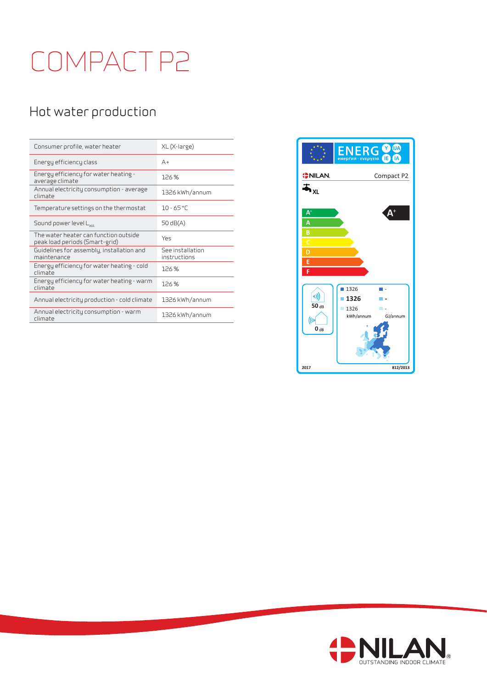## COMPACT P2

## Hot water production

| Consumer profile, water heater                                          | XL (X-large)                     |
|-------------------------------------------------------------------------|----------------------------------|
| Energy efficiency class                                                 | $A +$                            |
| Energy efficiency for water heating -<br>average climate                | 126%                             |
| Annual electricity consumption - average<br>climate                     | 1326 kWh/annum                   |
| Temperature settings on the thermostat                                  | $10 - 65$ °C                     |
| Sound power level L <sub>wa</sub>                                       | 50 $dB(A)$                       |
| The water heater can function outside<br>peak load periods (Smart-grid) | Yes                              |
| Guidelines for assembly, installation and<br>maintenance                | See installation<br>instructions |
| Energy efficiency for water heating - cold<br>climate                   | 126%                             |
| Energy efficiency for water heating - warm<br>climate                   | 126%                             |
| Annual electricity production - cold climate                            | 1326 kWh/annum                   |
| Annual electricity consumption - warm                                   | 1326 kWh/annum                   |